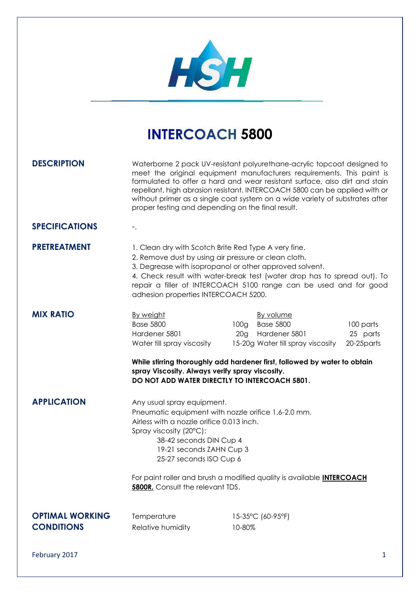

# **INTERCOACH 5800**

**DESCRIPTION** Waterborne 2 pack UV-resistant polyurethane-acrylic topcoat designed to meet the original equipment manufacturers requirements. This paint is formulated to offer a hard and wear resistant surface, also dirt and stain repellant, high abrasion resistant. INTERCOACH 5800 can be applied with or without primer as a single coat system on a wide variety of substrates after proper testing and depending on the final result.

# **SPECIFICATIONS** -.

- **PRETREATMENT** 1. Clean dry with Scotch Brite Red Type A very fine.
	- 2. Remove dust by using air pressure or clean cloth.
	- 3. Degrease with isopropanol or other approved solvent.

4. Check result with water-break test (water drop has to spread out). To repair a filler of INTERCOACH 5100 range can be used and for good adhesion properties INTERCOACH 5200.

**MIX RATIO** By weight By volume Base 5800 100g Base 5800 100 parts Hardener 5801 20g Hardener 5801 25 parts Water till spray viscosity 15-20g Water till spray viscosity 20-25parts

**While stirring thoroughly add hardener first, followed by water to obtain spray Viscosity. Always verify spray viscosity. DO NOT ADD WATER DIRECTLY TO INTERCOACH 5801.**

**APPLICATION** Any usual spray equipment. Pneumatic equipment with nozzle orifice 1.6-2.0 mm. Airless with a nozzle orifice 0.013 inch. Spray viscosity (20°C): 38-42 seconds DIN Cup 4 19-21 seconds ZAHN Cup 3 25-27 seconds ISO Cup 6

> For paint roller and brush a modified quality is available **INTERCOACH 5800R.** Consult the relevant TDS.

## **OPTIMAL WORKING** Temperature 15-35°C (60-95°F) **CONDITIONS** Relative humidity 10-80%

February 2017 1